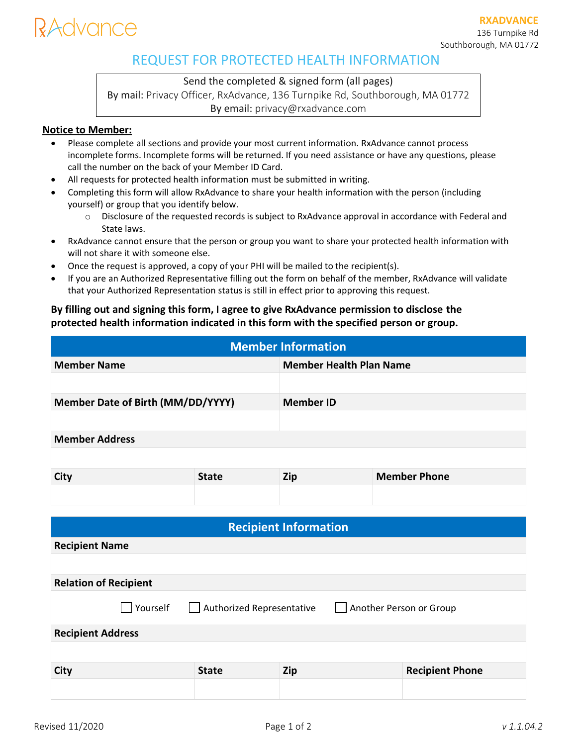# lAdvance

## REQUEST FOR PROTECTED HEALTH INFORMATION

### Send the completed & signed form (all pages)

By mail: Privacy Officer, RxAdvance, 136 Turnpike Rd, Southborough, MA 01772 By email: privacy@rxadvance.com

#### **Notice to Member:**

- Please complete all sections and provide your most current information. RxAdvance cannot process incomplete forms. Incomplete forms will be returned. If you need assistance or have any questions, please call the number on the back of your Member ID Card.
- All requests for protected health information must be submitted in writing.
- Completing this form will allow RxAdvance to share your health information with the person (including yourself) or group that you identify below.
	- o Disclosure of the requested records is subject to RxAdvance approval in accordance with Federal and State laws.
- RxAdvance cannot ensure that the person or group you want to share your protected health information with will not share it with someone else.
- Once the request is approved, a copy of your PHI will be mailed to the recipient(s).
- If you are an Authorized Representative filling out the form on behalf of the member, RxAdvance will validate that your Authorized Representation status is still in effect prior to approving this request.

### **By filling out and signing this form, I agree to give RxAdvance permission to disclose the protected health information indicated in this form with the specified person or group.**

| <b>Member Information</b>         |              |                                |                     |  |  |  |
|-----------------------------------|--------------|--------------------------------|---------------------|--|--|--|
| <b>Member Name</b>                |              | <b>Member Health Plan Name</b> |                     |  |  |  |
|                                   |              |                                |                     |  |  |  |
| Member Date of Birth (MM/DD/YYYY) |              | <b>Member ID</b>               |                     |  |  |  |
|                                   |              |                                |                     |  |  |  |
| <b>Member Address</b>             |              |                                |                     |  |  |  |
|                                   |              |                                |                     |  |  |  |
| <b>City</b>                       | <b>State</b> | Zip                            | <b>Member Phone</b> |  |  |  |
|                                   |              |                                |                     |  |  |  |

| <b>Recipient Information</b>                                     |              |     |                        |  |  |  |
|------------------------------------------------------------------|--------------|-----|------------------------|--|--|--|
| <b>Recipient Name</b>                                            |              |     |                        |  |  |  |
|                                                                  |              |     |                        |  |  |  |
| <b>Relation of Recipient</b>                                     |              |     |                        |  |  |  |
| Authorized Representative<br>Yourself<br>Another Person or Group |              |     |                        |  |  |  |
| <b>Recipient Address</b>                                         |              |     |                        |  |  |  |
|                                                                  |              |     |                        |  |  |  |
| City                                                             | <b>State</b> | Zip | <b>Recipient Phone</b> |  |  |  |
|                                                                  |              |     |                        |  |  |  |